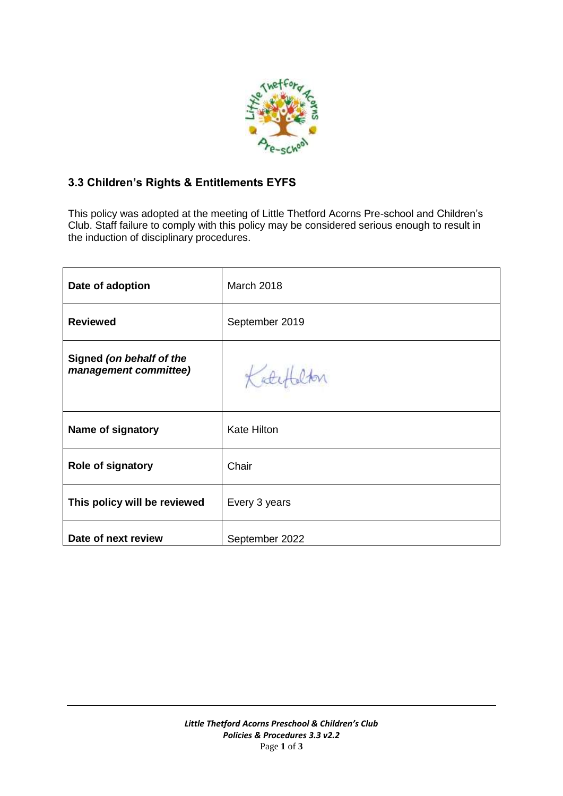

# **3.3 Children's Rights & Entitlements EYFS**

This policy was adopted at the meeting of Little Thetford Acorns Pre-school and Children's Club. Staff failure to comply with this policy may be considered serious enough to result in the induction of disciplinary procedures.

| Date of adoption                                  | <b>March 2018</b>  |
|---------------------------------------------------|--------------------|
| <b>Reviewed</b>                                   | September 2019     |
| Signed (on behalf of the<br>management committee) | Katy               |
| Name of signatory                                 | <b>Kate Hilton</b> |
| <b>Role of signatory</b>                          | Chair              |
| This policy will be reviewed                      | Every 3 years      |
| Date of next review                               | September 2022     |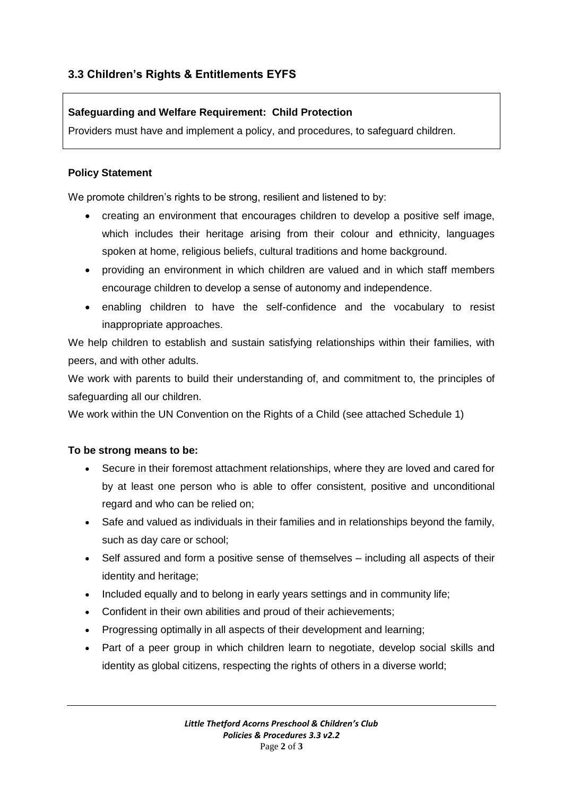# **3.3 Children's Rights & Entitlements EYFS**

### **Safeguarding and Welfare Requirement: Child Protection**

Providers must have and implement a policy, and procedures, to safeguard children.

### **Policy Statement**

We promote children's rights to be strong, resilient and listened to by:

- creating an environment that encourages children to develop a positive self image, which includes their heritage arising from their colour and ethnicity, languages spoken at home, religious beliefs, cultural traditions and home background.
- providing an environment in which children are valued and in which staff members encourage children to develop a sense of autonomy and independence.
- enabling children to have the self-confidence and the vocabulary to resist inappropriate approaches.

We help children to establish and sustain satisfying relationships within their families, with peers, and with other adults.

We work with parents to build their understanding of, and commitment to, the principles of safeguarding all our children.

We work within the UN Convention on the Rights of a Child (see attached Schedule 1)

### **To be strong means to be:**

- Secure in their foremost attachment relationships, where they are loved and cared for by at least one person who is able to offer consistent, positive and unconditional regard and who can be relied on;
- Safe and valued as individuals in their families and in relationships beyond the family, such as day care or school;
- Self assured and form a positive sense of themselves including all aspects of their identity and heritage;
- Included equally and to belong in early years settings and in community life;
- Confident in their own abilities and proud of their achievements;
- Progressing optimally in all aspects of their development and learning;
- Part of a peer group in which children learn to negotiate, develop social skills and identity as global citizens, respecting the rights of others in a diverse world;